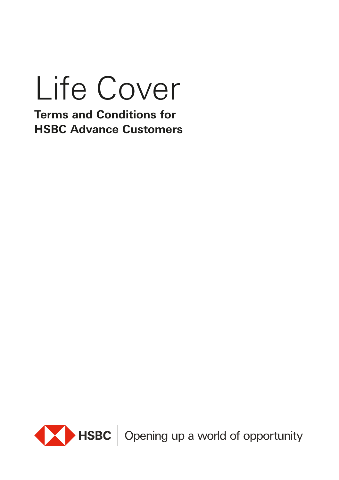# Life Cover

**Terms and Conditions for HSBC Advance Customers**



HSBC | Opening up a world of opportunity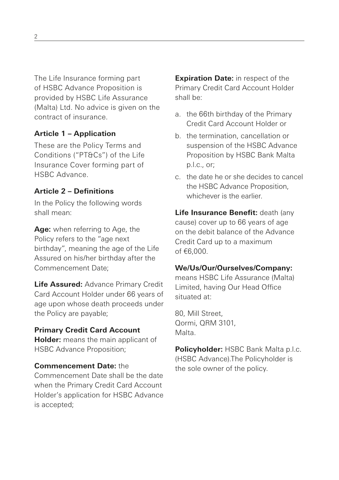The Life Insurance forming part of HSBC Advance Proposition is provided by HSBC Life Assurance (Malta) Ltd. No advice is given on the contract of insurance.

# **Article 1 – Application**

These are the Policy Terms and Conditions ("PT&Cs") of the Life Insurance Cover forming part of HSBC Advance.

# **Article 2 – Definitions**

In the Policy the following words shall mean:

**Age:** when referring to Age, the Policy refers to the "age next birthday", meaning the age of the Life Assured on his/her birthday after the Commencement Date;

**Life Assured:** Advance Primary Credit Card Account Holder under 66 years of age upon whose death proceeds under the Policy are payable;

# **Primary Credit Card Account**

**Holder:** means the main applicant of HSBC Advance Proposition;

### **Commencement Date:** the

Commencement Date shall be the date when the Primary Credit Card Account Holder's application for HSBC Advance is accepted;

**Expiration Date:** in respect of the Primary Credit Card Account Holder shall be:

- a. the 66th birthday of the Primary Credit Card Account Holder or
- b. the termination, cancellation or suspension of the HSBC Advance Proposition by HSBC Bank Malta p.l.c., or;
- c. the date he or she decides to cancel the HSBC Advance Proposition, whichever is the earlier.

**Life Insurance Benefit:** death (any cause) cover up to 66 years of age on the debit balance of the Advance Credit Card up to a maximum of €6,000.

# **We/Us/Our/Ourselves/Company:**

means HSBC Life Assurance (Malta) Limited, having Our Head Office situated at:

80, Mill Street, Qormi, QRM 3101, Malta.

**Policyholder:** HSBC Bank Malta p.l.c. (HSBC Advance).The Policyholder is the sole owner of the policy.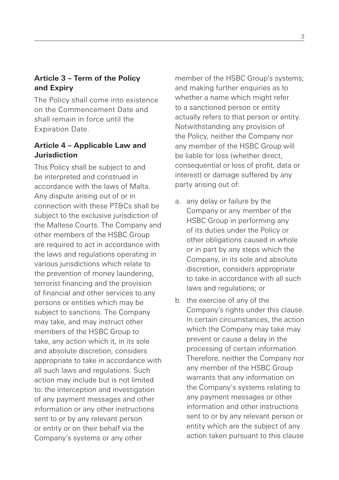# **Article 3 – Term of the Policy and Expiry**

The Policy shall come into existence on the Commencement Date and shall remain in force until the Expiration Date.

# **Article 4 – Applicable Law and Jurisdiction**

This Policy shall be subject to and be interpreted and construed in accordance with the laws of Malta. Any dispute arising out of or in connection with these PT&Cs shall be subject to the exclusive jurisdiction of the Maltese Courts. The Company and other members of the HSBC Group are required to act in accordance with the laws and regulations operating in various jurisdictions which relate to the prevention of money laundering, terrorist financing and the provision of financial and other services to any persons or entities which may be subject to sanctions. The Company may take, and may instruct other members of the HSBC Group to take, any action which it, in its sole and absolute discretion, considers appropriate to take in accordance with all such laws and regulations. Such action may include but is not limited to: the interception and investigation of any payment messages and other information or any other instructions sent to or by any relevant person or entity or on their behalf via the Company's systems or any other

member of the HSBC Group's systems; and making further enquiries as to whether a name which might refer to a sanctioned person or entity actually refers to that person or entity. Notwithstanding any provision of the Policy, neither the Company nor any member of the HSBC Group will be liable for loss (whether direct, consequential or loss of profit, data or interest) or damage suffered by any party arising out of:

- a. any delay or failure by the Company or any member of the HSBC Group in performing any of its duties under the Policy or other obligations caused in whole or in part by any steps which the Company, in its sole and absolute discretion, considers appropriate to take in accordance with all such laws and regulations; or
- b. the exercise of any of the Company's rights under this clause. In certain circumstances, the action which the Company may take may prevent or cause a delay in the processing of certain information. Therefore, neither the Company nor any member of the HSBC Group warrants that any information on the Company's systems relating to any payment messages or other information and other instructions sent to or by any relevant person or entity which are the subject of any action taken pursuant to this clause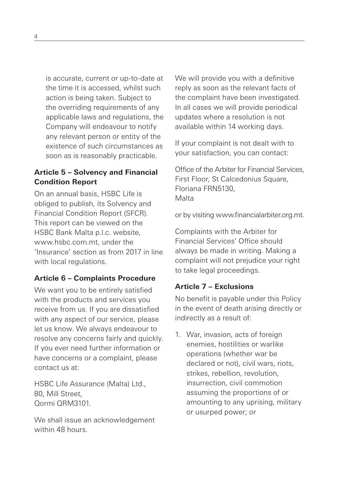is accurate, current or up-to-date at the time it is accessed, whilst such action is being taken. Subject to the overriding requirements of any applicable laws and regulations, the Company will endeavour to notify any relevant person or entity of the existence of such circumstances as soon as is reasonably practicable.

# **Article 5 – Solvency and Financial Condition Report**

On an annual basis, HSBC Life is obliged to publish, its Solvency and Financial Condition Report (SFCR). This report can be viewed on the HSBC Bank Malta p.l.c. website, www.hsbc.com.mt.under.the 'Insurance' section as from 2017 in line with local regulations.

# **Article 6 – Complaints Procedure**

We want you to be entirely satisfied with the products and services you receive from us. If you are dissatisfied with any aspect of our service, please let us know. We always endeavour to resolve any concerns fairly and quickly. If you ever need further information or have concerns or a complaint, please contact us at:

HSBC Life Assurance (Malta) Ltd., 80, Mill Street, Qormi QRM3101.

We shall issue an acknowledgement within 48 hours.

We will provide you with a definitive reply as soon as the relevant facts of the complaint have been investigated. In all cases we will provide periodical updates where a resolution is not available within 14 working days.

If your complaint is not dealt with to your satisfaction, you can contact:

Office of the Arbiter for Financial Services, First Floor, St Calcedonius Square, Floriana FRN5130, Malta

or by visiting www.financialarbiter.org.mt.

Complaints with the Arbiter for Financial Services' Office should always be made in writing. Making a complaint will not prejudice your right to take legal proceedings.

# **Article 7 – Exclusions**

No benefit is payable under this Policy in the event of death arising directly or indirectly as a result of:

1. War, invasion, acts of foreign enemies, hostilities or warlike operations (whether war be declared or not), civil wars, riots, strikes, rebellion, revolution, insurrection, civil commotion assuming the proportions of or amounting to any uprising, military or usurped power; or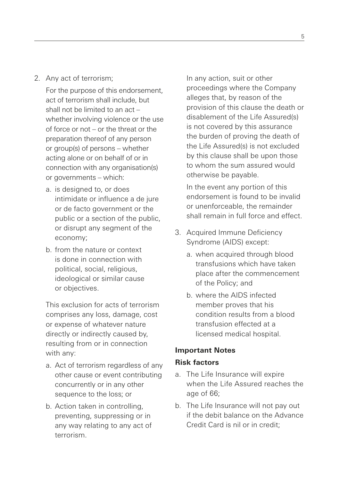2. Any act of terrorism;

For the purpose of this endorsement, act of terrorism shall include, but shall not be limited to an act – whether involving violence or the use of force or not – or the threat or the preparation thereof of any person or group(s) of persons – whether acting alone or on behalf of or in connection with any organisation(s) or governments – which:

- a. is designed to, or does intimidate or influence a de jure or de facto government or the public or a section of the public, or disrupt any segment of the economy;
- b. from the nature or context is done in connection with political, social, religious, ideological or similar cause or objectives.

This exclusion for acts of terrorism comprises any loss, damage, cost or expense of whatever nature directly or indirectly caused by, resulting from or in connection with any:

- a. Act of terrorism regardless of any other cause or event contributing concurrently or in any other sequence to the loss; or
- b. Action taken in controlling, preventing, suppressing or in any way relating to any act of terrorism.

In any action, suit or other proceedings where the Company alleges that, by reason of the provision of this clause the death or disablement of the Life Assured(s) is not covered by this assurance the burden of proving the death of the Life Assured(s) is not excluded by this clause shall be upon those to whom the sum assured would otherwise be payable.

In the event any portion of this endorsement is found to be invalid or unenforceable, the remainder shall remain in full force and effect.

- 3. Acquired Immune Deficiency Syndrome (AIDS) except:
	- a. when acquired through blood transfusions which have taken place after the commencement of the Policy; and
	- b. where the AIDS infected member proves that his condition results from a blood transfusion effected at a licensed medical hospital.

## **Important Notes**

### **Risk factors**

- a. The Life Insurance will expire when the Life Assured reaches the age of 66;
- b. The Life Insurance will not pay out if the debit balance on the Advance Credit Card is nil or in credit;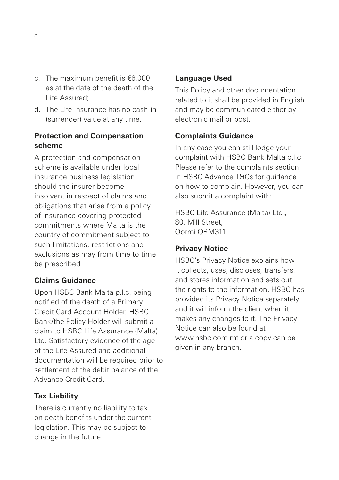- c. The maximum benefit is €6,000 as at the date of the death of the Life Assured;
- d. The Life Insurance has no cash-in (surrender) value at any time.

## **Protection and Compensation scheme**

A protection and compensation scheme is available under local insurance business legislation should the insurer become insolvent in respect of claims and obligations that arise from a policy of insurance covering protected commitments where Malta is the country of commitment subject to such limitations, restrictions and exclusions as may from time to time be prescribed.

# **Claims Guidance**

Upon HSBC Bank Malta p.l.c. being notified of the death of a Primary Credit Card Account Holder, HSBC Bank/the Policy Holder will submit a claim to HSBC Life Assurance (Malta) Ltd. Satisfactory evidence of the age of the Life Assured and additional documentation will be required prior to settlement of the debit balance of the Advance Credit Card.

## **Tax Liability**

There is currently no liability to tax on death benefits under the current legislation. This may be subject to change in the future.

#### **Language Used**

This Policy and other documentation related to it shall be provided in English and may be communicated either by electronic mail or post.

#### **Complaints Guidance**

In any case you can still lodge your complaint with HSBC Bank Malta p.l.c. Please refer to the complaints section in HSBC Advance T&Cs for guidance on how to complain. However, you can also submit a complaint with:

HSBC Life Assurance (Malta) Ltd., 80, Mill Street, Qormi QRM311.

#### **Privacy Notice**

HSBC's Privacy Notice explains how it collects, uses, discloses, transfers, and stores information and sets out the rights to the information. HSBC has provided its Privacy Notice separately and it will inform the client when it makes any changes to it. The Privacy Notice can also be found at www.hsbc.com.mt or a copy can be given in any branch.